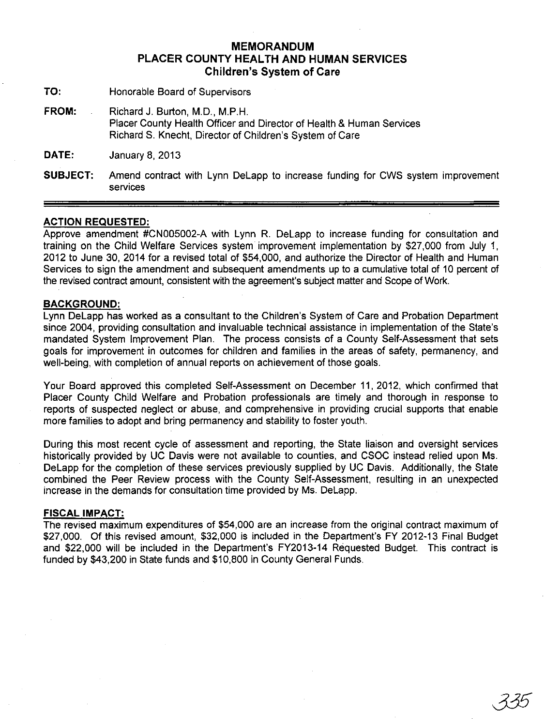## **MEMORANDUM PLACER COUNTY HEALTH AND HUMAN SERVICES Children's System of Care**

- **TO:** Honorable Board of Supervisors
- FROM: Richard J. Burton, M.D., M.P.H. Placer County Health Officer and Director of Health & Human Services Richard S. Knecht, Director of Children's System of Care

**DATE:** January 8, 2013

**SUBJECT:** Amend contract with lynn Delapp to increase funding for CWS system improvement services

## **ACTION REQUESTED:**

Approve amendment #CN005002-A with lynn R. Delapp to increase funding for consultation and training on the Child Welfare Services system improvement implementation by \$27,000 from July 1, 2012 to June 30, 2014 for a revised total of \$54,000, and authorize the Director of Health and Human Services to sign the amendment and subsequent amendments up to a cumulative total of 10 percent of the revised contract amount, consistent with the agreement's subject matter and Scope of Work.

## **BACKGROUND:**

lynn Delapp has worked as a consultant to the Children's System of Care and Probation Department since 2004, providing consultation and invaluable technical assistance in implementation of the State's mandated System Improvement Plan. The process consists of a County Self-Assessment that sets goals for improvement in outcomes for children and families in the areas of safety, permanency, and well-being, with completion of annual reports on achievement of those goals.

Your Board approved this completed Self-Assessment on December 11,2012, which confirmed that Placer County Child Welfare and Probation professionals are timely and thorough in response to reports of suspected neglect or abuse, and comprehensive in providing crucial supports that enable more families to adopt and bring permanency and stability to foster youth.

During this most recent cycle of assessment and reporting, the State liaison and oversight services historically provided by UC Davis were not available to counties, and CSOC instead relied upon Ms. Delapp for the completion of these services previously supplied by UC Davis. Additionally, the State combined the Peer Review process with the County Self-Assessment, resulting in an unexpected increase in the demands for consultation time provided by Ms. Delapp.

## **FISCAL IMPACT:**

The revised maximum expenditures of \$54,000 are an increase from the original contract maximum of \$27,000. Of this revised amount, \$32,000 is included in the Department's FY 2012-13 Final Budget and \$22,000 will be included in the Department's FY2013-14 Requested Budget. This contract is funded by \$43,200 in State funds and \$10,800 in County General Funds.